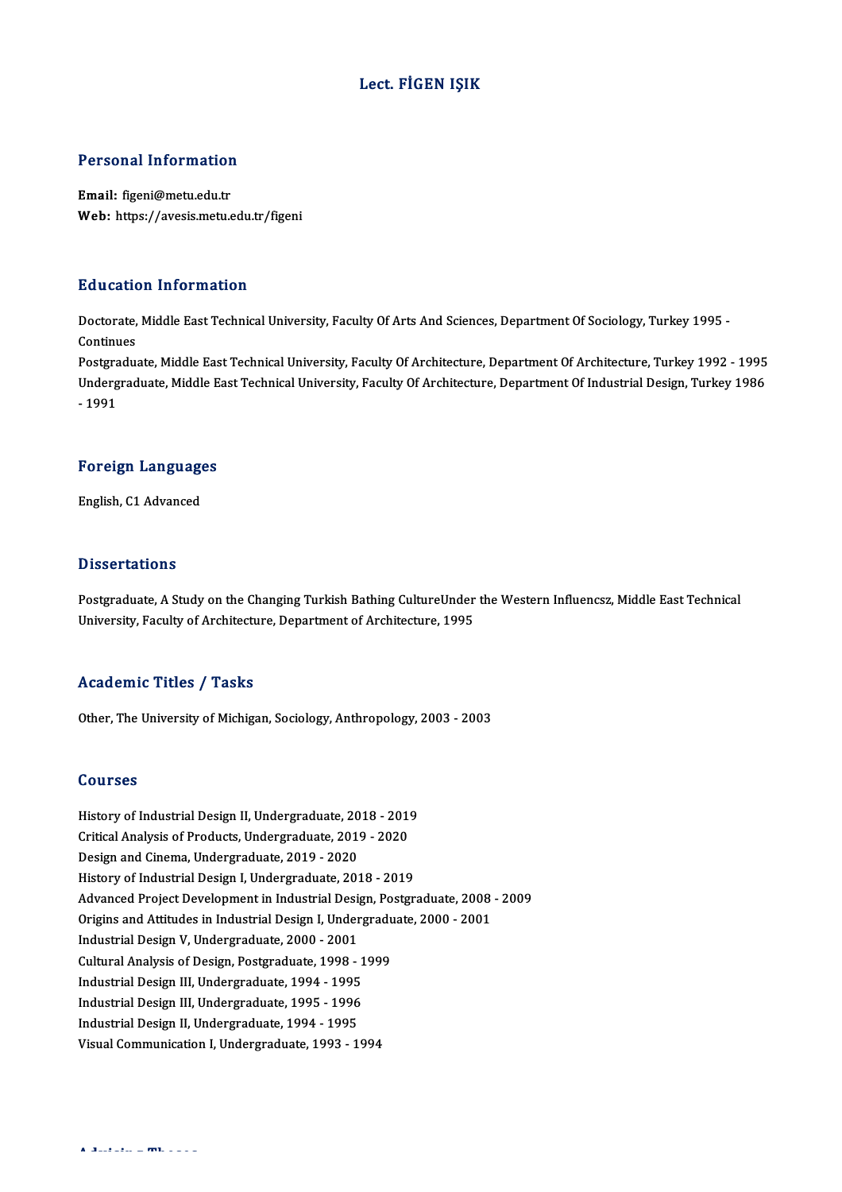### Lect. FİGEN IŞIK

### Personal Information

Email: figeni@metu.edu.tr Web: https://avesis.metu.edu.tr/figeni

### Education Information

**Education Information**<br>Doctorate, Middle East Technical University, Faculty Of Arts And Sciences, Department Of Sociology, Turkey 1995 -<br>Continues Doctorate,<br>Continues<br>Postaredus Doctorate, Middle East Technical University, Faculty Of Arts And Sciences, Department Of Sociology, Turkey 1995<br>Continues<br>Postgraduate, Middle East Technical University, Faculty Of Architecture, Department Of Architecture,

Continues<br>Postgraduate, Middle East Technical University, Faculty Of Architecture, Department Of Architecture, Turkey 1992 - 1995<br>Undergraduate, Middle East Technical University, Faculty Of Architecture, Department Of Indu Postgra<br>Underg<br>- 1991

## - 1991<br>Foreign Languages F<mark>oreign Languag</mark>e<br>English, C1 Advanced

English, C1 Advanced<br>Dissertations

Postgraduate, A Study on the Changing Turkish Bathing CultureUnder the Western Influencsz, Middle East Technical University, Faculty of Architecture, Department of Architecture, 1995

#### Academic Titles / Tasks

Other, The University of Michigan, Sociology, Anthropology, 2003 - 2003

#### Courses

**Courses<br>History of Industrial Design II, Undergraduate, 2018 - 2019<br>Critical Analysis of Products Undergraduate, 2019 - 2020** Courses<br>History of Industrial Design II, Undergraduate, 2018 - 201<br>Critical Analysis of Products, Undergraduate, 2019 - 2020<br>Design and Cinama, Undergraduate, 2019 - 2020 History of Industrial Design II, Undergraduate, 20<br>Critical Analysis of Products, Undergraduate, 2019<br>Design and Cinema, Undergraduate, 2019 - 2020<br>History of Industrial Design L Undergraduate, 201 Critical Analysis of Products, Undergraduate, 2019 - 2020<br>Design and Cinema, Undergraduate, 2019 - 2020<br>History of Industrial Design I, Undergraduate, 2018 - 2019 Advanced Project Development in Industrial Design, Postgraduate, 2008 - 2009 History of Industrial Design I, Undergraduate, 2018 - 2019<br>Advanced Project Development in Industrial Design, Postgraduate, 2008<br>Origins and Attitudes in Industrial Design I, Undergraduate, 2000 - 2001<br>Industrial Design V, Advanced Project Development in Industrial Design<br>Origins and Attitudes in Industrial Design I, Under<br>Industrial Design V, Undergraduate, 2000 - 2001<br>Cultural Analysis of Design Pestgraduate, 1998 Origins and Attitudes in Industrial Design I, Undergradu<br>Industrial Design V, Undergraduate, 2000 - 2001<br>Cultural Analysis of Design, Postgraduate, 1998 - 1999<br>Industrial Design III, Undergraduate, 1994 - 1995 Industrial Design V, Undergraduate, 2000 - 2001<br>Cultural Analysis of Design, Postgraduate, 1998 - 1<br>Industrial Design III, Undergraduate, 1994 - 1995<br>Industrial Design III, Undergraduate, 1995 - 1996 Cultural Analysis of Design, Postgraduate, 1998 - 1<br>Industrial Design III, Undergraduate, 1994 - 1995<br>Industrial Design III, Undergraduate, 1995 - 1996<br>Industrial Design II, Undergraduate, 1994 - 1995 Industrial Design III, Undergraduate, 1994 - 1995<br>Industrial Design III, Undergraduate, 1995 - 1996<br>Industrial Design II, Undergraduate, 1994 - 1995<br>Vieuel Communication I, Undergraduate, 1993 - 1 Industrial Design III, Undergraduate, 1995 - 1996<br>Industrial Design II, Undergraduate, 1994 - 1995<br>Visual Communication I, Undergraduate, 1993 - 1994